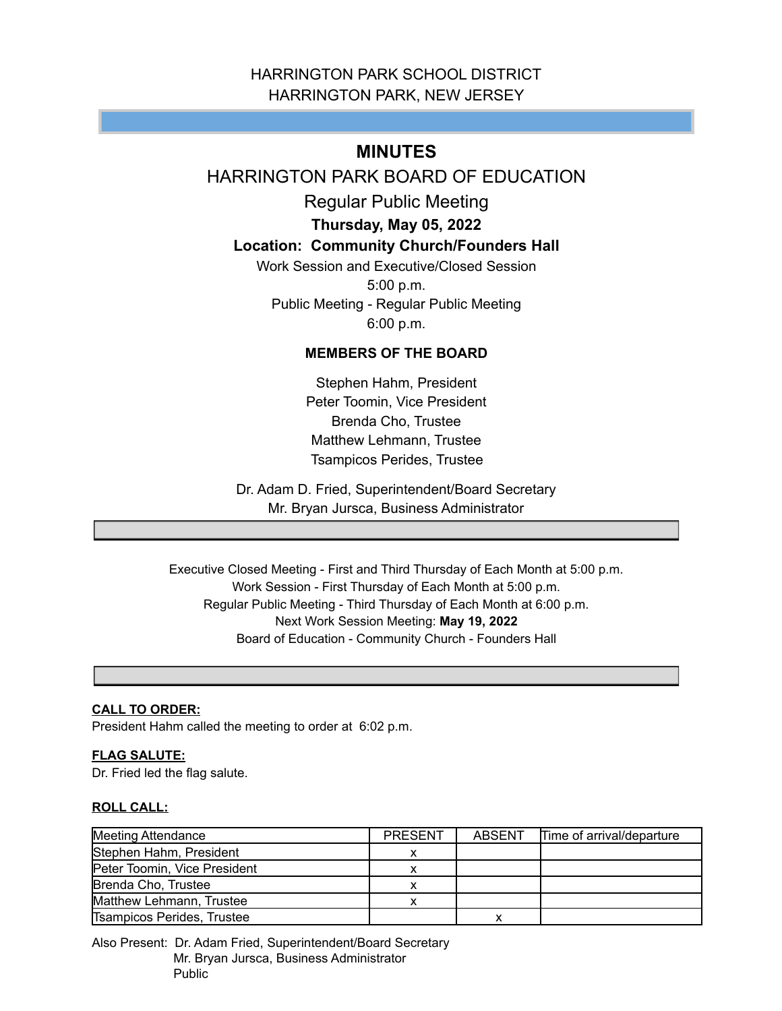# HARRINGTON PARK SCHOOL DISTRICT HARRINGTON PARK, NEW JERSEY

# **MINUTES**

# HARRINGTON PARK BOARD OF EDUCATION

Regular Public Meeting

**Thursday, May 05, 2022**

# **Location: Community Church/Founders Hall**

Work Session and Executive/Closed Session 5:00 p.m. Public Meeting - Regular Public Meeting 6:00 p.m.

# **MEMBERS OF THE BOARD**

Stephen Hahm, President Peter Toomin, Vice President Brenda Cho, Trustee Matthew Lehmann, Trustee Tsampicos Perides, Trustee

Dr. Adam D. Fried, Superintendent/Board Secretary Mr. Bryan Jursca, Business Administrator

Executive Closed Meeting - First and Third Thursday of Each Month at 5:00 p.m. Work Session - First Thursday of Each Month at 5:00 p.m. Regular Public Meeting - Third Thursday of Each Month at 6:00 p.m. Next Work Session Meeting: **May 19, 2022** Board of Education - Community Church - Founders Hall

# **CALL TO ORDER:**

President Hahm called the meeting to order at 6:02 p.m.

# **FLAG SALUTE:**

Dr. Fried led the flag salute.

# **ROLL CALL:**

| Meeting Attendance           | <b>PRESENT</b> | ABSENT | Time of arrival/departure |
|------------------------------|----------------|--------|---------------------------|
| Stephen Hahm, President      |                |        |                           |
| Peter Toomin, Vice President |                |        |                           |
| Brenda Cho, Trustee          |                |        |                           |
| Matthew Lehmann, Trustee     |                |        |                           |
| Tsampicos Perides, Trustee   |                | x      |                           |

Also Present: Dr. Adam Fried, Superintendent/Board Secretary Mr. Bryan Jursca, Business Administrator Public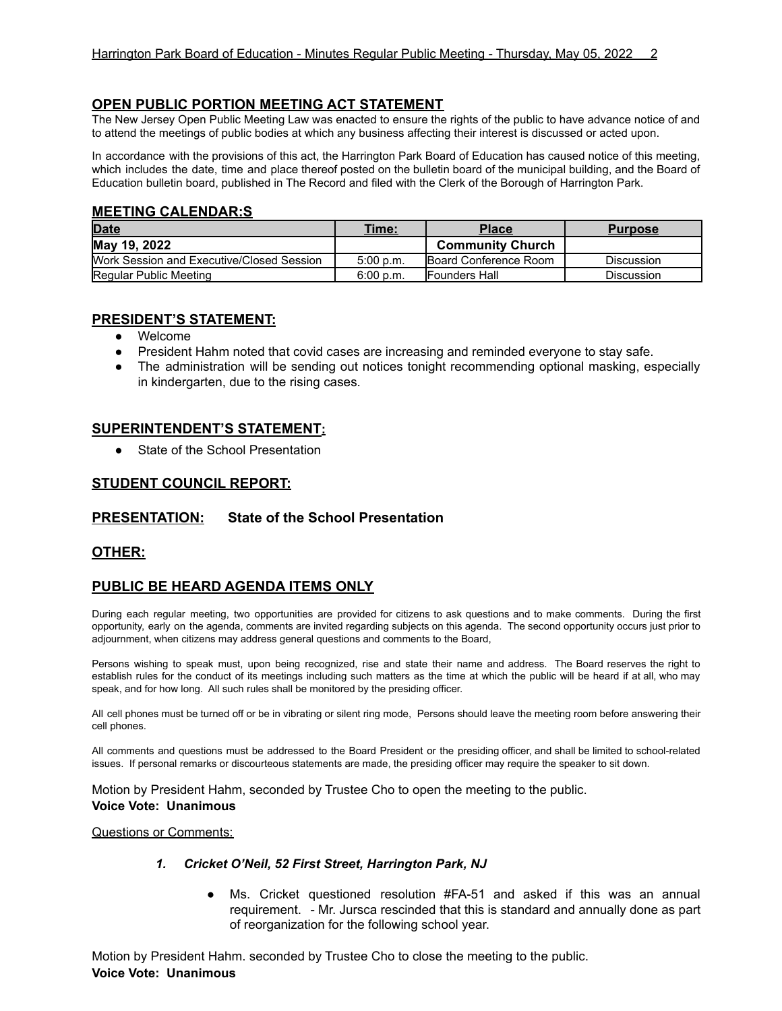# **OPEN PUBLIC PORTION MEETING ACT STATEMENT**

The New Jersey Open Public Meeting Law was enacted to ensure the rights of the public to have advance notice of and to attend the meetings of public bodies at which any business affecting their interest is discussed or acted upon.

In accordance with the provisions of this act, the Harrington Park Board of Education has caused notice of this meeting, which includes the date, time and place thereof posted on the bulletin board of the municipal building, and the Board of Education bulletin board, published in The Record and filed with the Clerk of the Borough of Harrington Park.

# **MEETING CALENDAR:S**

| <b>Date</b>                               | Time:     | <b>Place</b>                  | <b>Purpose</b>    |
|-------------------------------------------|-----------|-------------------------------|-------------------|
| May 19, 2022                              |           | <b>Community Church</b>       |                   |
| Work Session and Executive/Closed Session | 5:00 p.m. | <b>IBoard Conference Room</b> | <b>Discussion</b> |
| Regular Public Meeting                    | 6:00 p.m. | <b>IFounders Hall</b>         | <b>Discussion</b> |

### **PRESIDENT'S STATEMENT:**

- Welcome
- President Hahm noted that covid cases are increasing and reminded everyone to stay safe.
- The administration will be sending out notices tonight recommending optional masking, especially in kindergarten, due to the rising cases.

# **SUPERINTENDENT'S STATEMENT:**

● State of the School Presentation

# **STUDENT COUNCIL REPORT:**

# **PRESENTATION: State of the School Presentation**

# **OTHER:**

# **PUBLIC BE HEARD AGENDA ITEMS ONLY**

During each regular meeting, two opportunities are provided for citizens to ask questions and to make comments. During the first opportunity, early on the agenda, comments are invited regarding subjects on this agenda. The second opportunity occurs just prior to adjournment, when citizens may address general questions and comments to the Board,

Persons wishing to speak must, upon being recognized, rise and state their name and address. The Board reserves the right to establish rules for the conduct of its meetings including such matters as the time at which the public will be heard if at all, who may speak, and for how long. All such rules shall be monitored by the presiding officer.

All cell phones must be turned off or be in vibrating or silent ring mode, Persons should leave the meeting room before answering their cell phones.

All comments and questions must be addressed to the Board President or the presiding officer, and shall be limited to school-related issues. If personal remarks or discourteous statements are made, the presiding officer may require the speaker to sit down.

Motion by President Hahm, seconded by Trustee Cho to open the meeting to the public. **Voice Vote: Unanimous**

Questions or Comments:

#### *1. Cricket O'Neil, 52 First Street, Harrington Park, NJ*

● Ms. Cricket questioned resolution #FA-51 and asked if this was an annual requirement. - Mr. Jursca rescinded that this is standard and annually done as part of reorganization for the following school year.

Motion by President Hahm. seconded by Trustee Cho to close the meeting to the public. **Voice Vote: Unanimous**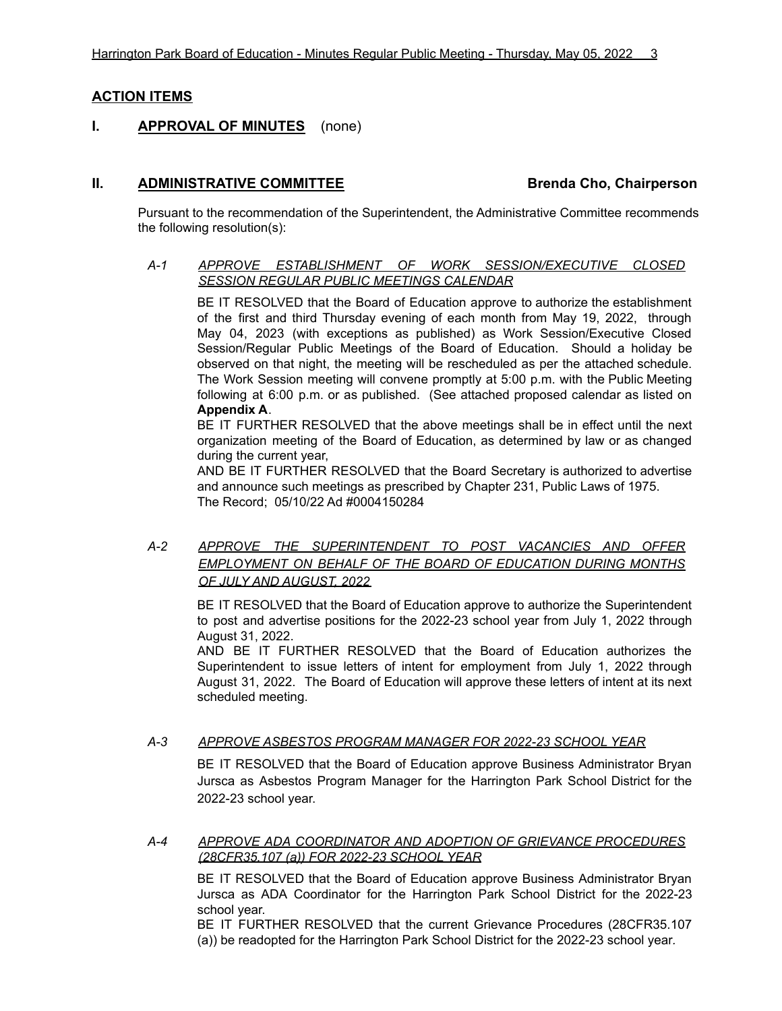# **ACTION ITEMS**

# **I. APPROVAL OF MINUTES** (none)

# **II. ADMINISTRATIVE COMMITTEE Brenda Cho, Chairperson**

Pursuant to the recommendation of the Superintendent, the Administrative Committee recommends the following resolution(s):

# *A-1 APPROVE ESTABLISHMENT OF WORK SESSION/EXECUTIVE CLOSED SESSION REGULAR PUBLIC MEETINGS CALENDAR*

BE IT RESOLVED that the Board of Education approve to authorize the establishment of the first and third Thursday evening of each month from May 19, 2022, through May 04, 2023 (with exceptions as published) as Work Session/Executive Closed Session/Regular Public Meetings of the Board of Education. Should a holiday be observed on that night, the meeting will be rescheduled as per the attached schedule. The Work Session meeting will convene promptly at 5:00 p.m. with the Public Meeting following at 6:00 p.m. or as published. (See attached proposed calendar as listed on **Appendix A**.

BE IT FURTHER RESOLVED that the above meetings shall be in effect until the next organization meeting of the Board of Education, as determined by law or as changed during the current year,

AND BE IT FURTHER RESOLVED that the Board Secretary is authorized to advertise and announce such meetings as prescribed by Chapter 231, Public Laws of 1975. The Record; 05/10/22 Ad #0004150284

# *A-2 APPROVE THE SUPERINTENDENT TO POST VACANCIES AND OFFER EMPLOYMENT ON BEHALF OF THE BOARD OF EDUCATION DURING MONTHS OF JULY AND AUGUST, 2022*

BE IT RESOLVED that the Board of Education approve to authorize the Superintendent to post and advertise positions for the 2022-23 school year from July 1, 2022 through August 31, 2022.

AND BE IT FURTHER RESOLVED that the Board of Education authorizes the Superintendent to issue letters of intent for employment from July 1, 2022 through August 31, 2022. The Board of Education will approve these letters of intent at its next scheduled meeting.

#### *A-3 APPROVE ASBESTOS PROGRAM MANAGER FOR 2022-23 SCHOOL YEAR*

BE IT RESOLVED that the Board of Education approve Business Administrator Bryan Jursca as Asbestos Program Manager for the Harrington Park School District for the 2022-23 school year.

*A-4 APPROVE ADA COORDINATOR AND ADOPTION OF GRIEVANCE PROCEDURES (28CFR35.107 (a)) FOR 2022-23 SCHOOL YEAR*

BE IT RESOLVED that the Board of Education approve Business Administrator Bryan Jursca as ADA Coordinator for the Harrington Park School District for the 2022-23 school year.

BE IT FURTHER RESOLVED that the current Grievance Procedures (28CFR35.107 (a)) be readopted for the Harrington Park School District for the 2022-23 school year*.*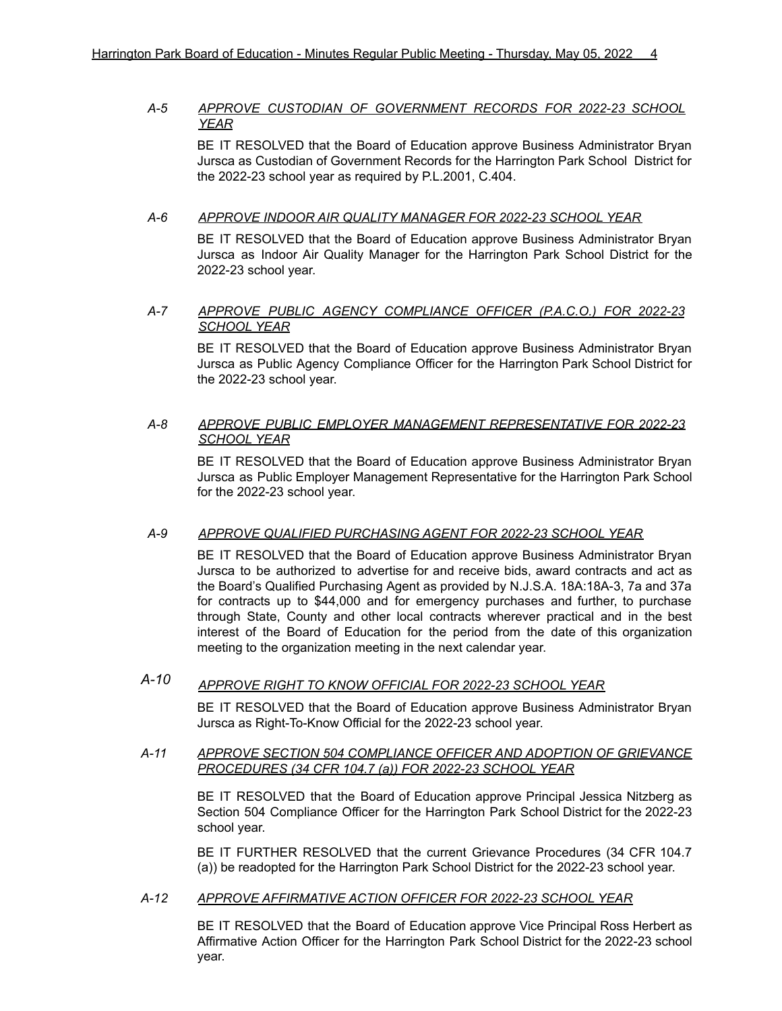# *A-5 APPROVE CUSTODIAN OF GOVERNMENT RECORDS FOR 2022-23 SCHOOL YEAR*

BE IT RESOLVED that the Board of Education approve Business Administrator Bryan Jursca as Custodian of Government Records for the Harrington Park School District for the 2022-23 school year as required by P.L.2001, C.404.

# *A-6 APPROVE INDOOR AIR QUALITY MANAGER FOR 2022-23 SCHOOL YEAR*

BE IT RESOLVED that the Board of Education approve Business Administrator Bryan Jursca as Indoor Air Quality Manager for the Harrington Park School District for the 2022-23 school year.

# *A-7 APPROVE PUBLIC AGENCY COMPLIANCE OFFICER (P.A.C.O.) FOR 2022-23 SCHOOL YEAR*

BE IT RESOLVED that the Board of Education approve Business Administrator Bryan Jursca as Public Agency Compliance Officer for the Harrington Park School District for the 2022-23 school year.

### *A-8 APPROVE PUBLIC EMPLOYER MANAGEMENT REPRESENTATIVE FOR 2022-23 SCHOOL YEAR*

BE IT RESOLVED that the Board of Education approve Business Administrator Bryan Jursca as Public Employer Management Representative for the Harrington Park School for the 2022-23 school year.

# *A-9 APPROVE QUALIFIED PURCHASING AGENT FOR 2022-23 SCHOOL YEAR*

BE IT RESOLVED that the Board of Education approve Business Administrator Bryan Jursca to be authorized to advertise for and receive bids, award contracts and act as the Board's Qualified Purchasing Agent as provided by N.J.S.A. 18A:18A-3, 7a and 37a for contracts up to \$44,000 and for emergency purchases and further, to purchase through State, County and other local contracts wherever practical and in the best interest of the Board of Education for the period from the date of this organization meeting to the organization meeting in the next calendar year.

# *A-10 APPROVE RIGHT TO KNOW OFFICIAL FOR 2022-23 SCHOOL YEAR*

BE IT RESOLVED that the Board of Education approve Business Administrator Bryan Jursca as Right-To-Know Official for the 2022-23 school year.

#### *A-11 APPROVE SECTION 504 COMPLIANCE OFFICER AND ADOPTION OF GRIEVANCE PROCEDURES (34 CFR 104.7 (a)) FOR 2022-23 SCHOOL YEAR*

BE IT RESOLVED that the Board of Education approve Principal Jessica Nitzberg as Section 504 Compliance Officer for the Harrington Park School District for the 2022-23 school year.

BE IT FURTHER RESOLVED that the current Grievance Procedures (34 CFR 104.7 (a)) be readopted for the Harrington Park School District for the 2022-23 school year.

#### *A-12 APPROVE AFFIRMATIVE ACTION OFFICER FOR 2022-23 SCHOOL YEAR*

BE IT RESOLVED that the Board of Education approve Vice Principal Ross Herbert as Affirmative Action Officer for the Harrington Park School District for the 2022-23 school year.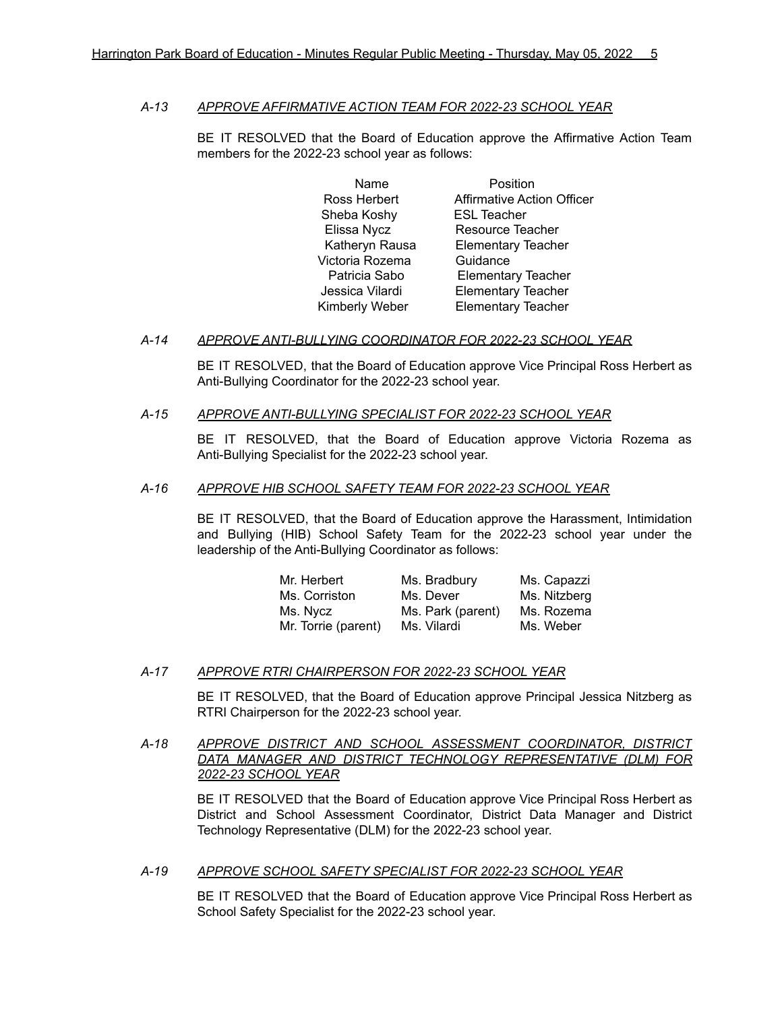### *A-13 APPROVE AFFIRMATIVE ACTION TEAM FOR 2022-23 SCHOOL YEAR*

BE IT RESOLVED that the Board of Education approve the Affirmative Action Team members for the 2022-23 school year as follows:

> Name **Position** Ross Herbert **Affirmative Action Officer** Sheba Koshy ESL Teacher Elissa Nycz Resource Teacher Katheryn Rausa Elementary Teacher Victoria Rozema Guidance Patricia Sabo Elementary Teacher Jessica Vilardi Elementary Teacher Kimberly Weber Elementary Teacher

#### *A-14 APPROVE ANTI-BULLYING COORDINATOR FOR 2022-23 SCHOOL YEAR*

BE IT RESOLVED, that the Board of Education approve Vice Principal Ross Herbert as Anti-Bullying Coordinator for the 2022-23 school year.

# *A-15 APPROVE ANTI-BULLYING SPECIALIST FOR 2022-23 SCHOOL YEAR*

BE IT RESOLVED, that the Board of Education approve Victoria Rozema as Anti-Bullying Specialist for the 2022-23 school year.

# *A-16 APPROVE HIB SCHOOL SAFETY TEAM FOR 2022-23 SCHOOL YEAR*

BE IT RESOLVED, that the Board of Education approve the Harassment, Intimidation and Bullying (HIB) School Safety Team for the 2022-23 school year under the leadership of the Anti-Bullying Coordinator as follows:

| Mr. Herbert         | Ms. Bradbury      | Ms. Capazzi  |
|---------------------|-------------------|--------------|
| Ms. Corriston       | Ms. Dever         | Ms. Nitzberg |
| Ms. Nycz            | Ms. Park (parent) | Ms. Rozema   |
| Mr. Torrie (parent) | Ms. Vilardi       | Ms. Weber    |

# *A-17 APPROVE RTRI CHAIRPERSON FOR 2022-23 SCHOOL YEAR*

BE IT RESOLVED, that the Board of Education approve Principal Jessica Nitzberg as RTRI Chairperson for the 2022-23 school year.

*A-18 APPROVE DISTRICT AND SCHOOL ASSESSMENT COORDINATOR, DISTRICT DATA MANAGER AND DISTRICT TECHNOLOGY REPRESENTATIVE (DLM) FOR 2022-23 SCHOOL YEAR*

> BE IT RESOLVED that the Board of Education approve Vice Principal Ross Herbert as District and School Assessment Coordinator, District Data Manager and District Technology Representative (DLM) for the 2022-23 school year.

# *A-19 APPROVE SCHOOL SAFETY SPECIALIST FOR 2022-23 SCHOOL YEAR*

BE IT RESOLVED that the Board of Education approve Vice Principal Ross Herbert as School Safety Specialist for the 2022-23 school year.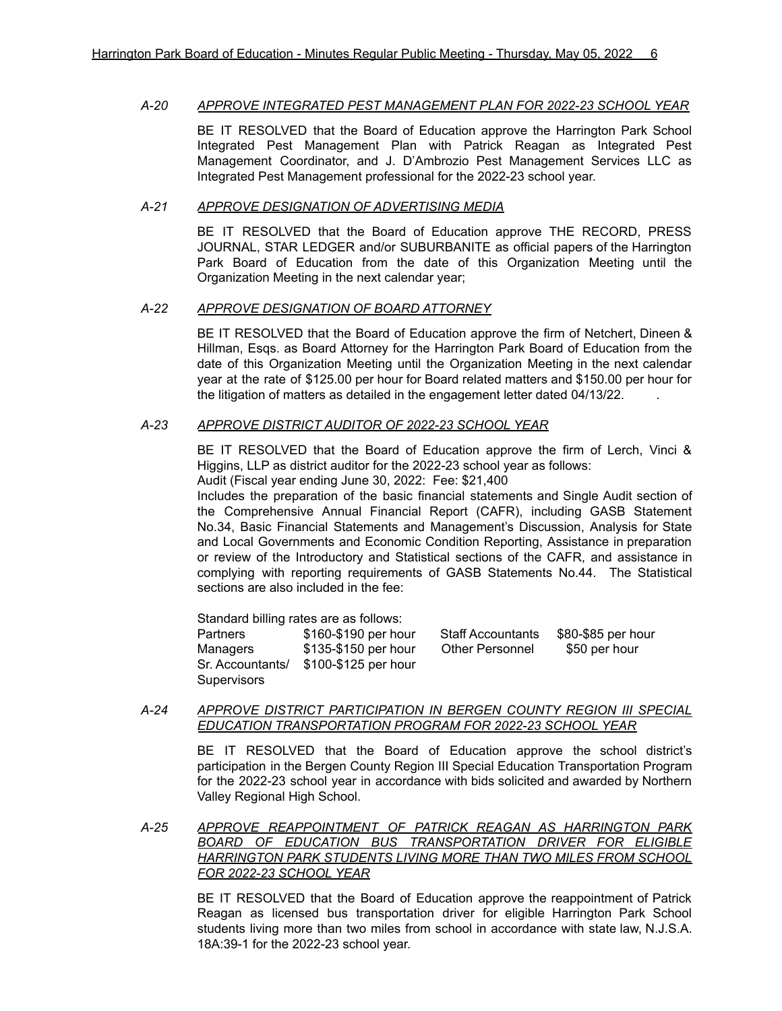#### *A-20 APPROVE INTEGRATED PEST MANAGEMENT PLAN FOR 2022-23 SCHOOL YEAR*

BE IT RESOLVED that the Board of Education approve the Harrington Park School Integrated Pest Management Plan with Patrick Reagan as Integrated Pest Management Coordinator, and J. D'Ambrozio Pest Management Services LLC as Integrated Pest Management professional for the 2022-23 school year.

#### *A-21 APPROVE DESIGNATION OF ADVERTISING MEDIA*

BE IT RESOLVED that the Board of Education approve THE RECORD, PRESS JOURNAL, STAR LEDGER and/or SUBURBANITE as official papers of the Harrington Park Board of Education from the date of this Organization Meeting until the Organization Meeting in the next calendar year;

### *A-22 APPROVE DESIGNATION OF BOARD ATTORNEY*

BE IT RESOLVED that the Board of Education approve the firm of Netchert, Dineen & Hillman, Esqs. as Board Attorney for the Harrington Park Board of Education from the date of this Organization Meeting until the Organization Meeting in the next calendar year at the rate of \$125.00 per hour for Board related matters and \$150.00 per hour for the litigation of matters as detailed in the engagement letter dated 04/13/22. .

### *A-23 APPROVE DISTRICT AUDITOR OF 2022-23 SCHOOL YEAR*

BE IT RESOLVED that the Board of Education approve the firm of Lerch, Vinci & Higgins, LLP as district auditor for the 2022-23 school year as follows:

Audit (Fiscal year ending June 30, 2022: Fee: \$21,400 Includes the preparation of the basic financial statements and Single Audit section of

the Comprehensive Annual Financial Report (CAFR), including GASB Statement No.34, Basic Financial Statements and Management's Discussion, Analysis for State and Local Governments and Economic Condition Reporting, Assistance in preparation or review of the Introductory and Statistical sections of the CAFR, and assistance in complying with reporting requirements of GASB Statements No.44. The Statistical sections are also included in the fee:

Standard billing rates are as follows: Partners \$160-\$190 per hour Staff Accountants \$80-\$85 per hour Managers \$135-\$150 per hour Other Personnel \$50 per hour Sr. Accountants/ \$100-\$125 per hour **Supervisors** 

## *A-24 APPROVE DISTRICT PARTICIPATION IN BERGEN COUNTY REGION III SPECIAL EDUCATION TRANSPORTATION PROGRAM FOR 2022-23 SCHOOL YEAR*

BE IT RESOLVED that the Board of Education approve the school district's participation in the Bergen County Region III Special Education Transportation Program for the 2022-23 school year in accordance with bids solicited and awarded by Northern Valley Regional High School.

*A-25 APPROVE REAPPOINTMENT OF PATRICK REAGAN AS HARRINGTON PARK BOARD OF EDUCATION BUS TRANSPORTATION DRIVER FOR ELIGIBLE HARRINGTON PARK STUDENTS LIVING MORE THAN TWO MILES FROM SCHOOL FOR 2022-23 SCHOOL YEAR*

> BE IT RESOLVED that the Board of Education approve the reappointment of Patrick Reagan as licensed bus transportation driver for eligible Harrington Park School students living more than two miles from school in accordance with state law, N.J.S.A. 18A:39-1 for the 2022-23 school year.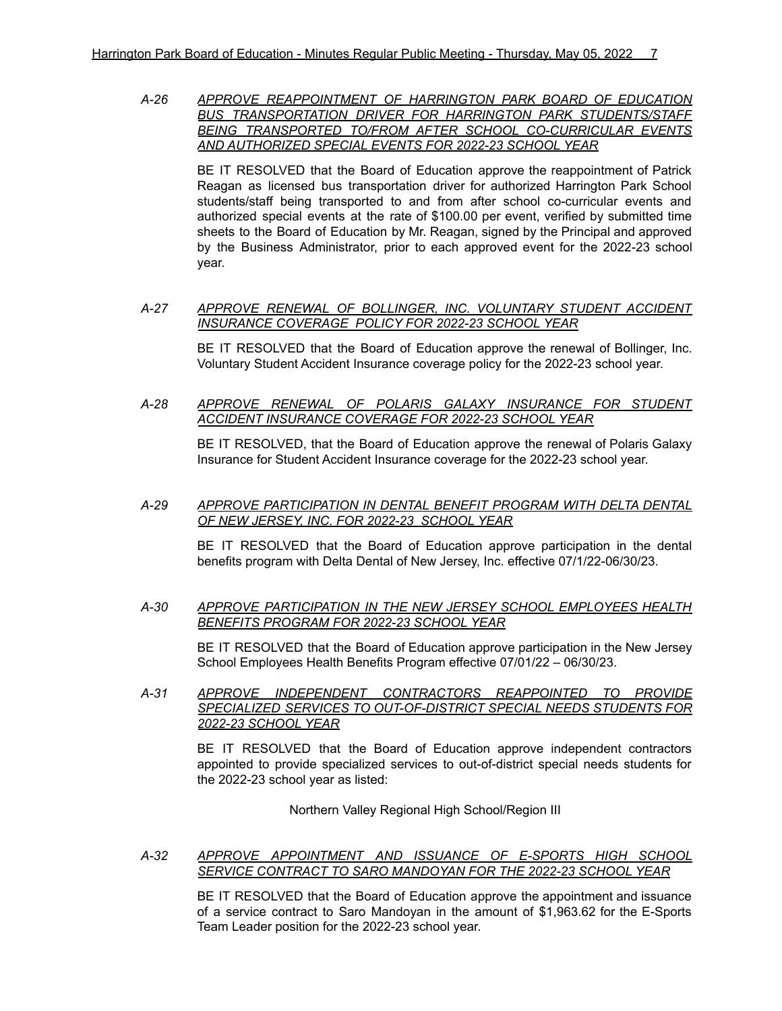*A-26 APPROVE REAPPOINTMENT OF HARRINGTON PARK BOARD OF EDUCATION BUS TRANSPORTATION DRIVER FOR HARRINGTON PARK STUDENTS/STAFF BEING TRANSPORTED TO/FROM AFTER SCHOOL CO-CURRICULAR EVENTS AND AUTHORIZED SPECIAL EVENTS FOR 2022-23 SCHOOL YEAR*

BE IT RESOLVED that the Board of Education approve the reappointment of Patrick Reagan as licensed bus transportation driver for authorized Harrington Park School students/staff being transported to and from after school co-curricular events and authorized special events at the rate of \$100.00 per event, verified by submitted time sheets to the Board of Education by Mr. Reagan, signed by the Principal and approved by the Business Administrator, prior to each approved event for the 2022-23 school year.

#### *A-27 APPROVE RENEWAL OF BOLLINGER, INC. VOLUNTARY STUDENT ACCIDENT INSURANCE COVERAGE POLICY FOR 2022-23 SCHOOL YEAR*

BE IT RESOLVED that the Board of Education approve the renewal of Bollinger, Inc. Voluntary Student Accident Insurance coverage policy for the 2022-23 school year.

*A-28 APPROVE RENEWAL OF POLARIS GALAXY INSURANCE FOR STUDENT ACCIDENT INSURANCE COVERAGE FOR 2022-23 SCHOOL YEAR*

> BE IT RESOLVED, that the Board of Education approve the renewal of Polaris Galaxy Insurance for Student Accident Insurance coverage for the 2022-23 school year.

#### *A-29 APPROVE PARTICIPATION IN DENTAL BENEFIT PROGRAM WITH DELTA DENTAL OF NEW JERSEY, INC. FOR 2022-23 SCHOOL YEAR*

BE IT RESOLVED that the Board of Education approve participation in the dental benefits program with Delta Dental of New Jersey, Inc. effective 07/1/22-06/30/23.

#### *A-30 APPROVE PARTICIPATION IN THE NEW JERSEY SCHOOL EMPLOYEES HEALTH BENEFITS PROGRAM FOR 2022-23 SCHOOL YEAR*

BE IT RESOLVED that the Board of Education approve participation in the New Jersey School Employees Health Benefits Program effective 07/01/22 – 06/30/23.

*A-31 APPROVE INDEPENDENT CONTRACTORS REAPPOINTED TO PROVIDE SPECIALIZED SERVICES TO OUT-OF-DISTRICT SPECIAL NEEDS STUDENTS FOR 2022-23 SCHOOL YEAR*

> BE IT RESOLVED that the Board of Education approve independent contractors appointed to provide specialized services to out-of-district special needs students for the 2022-23 school year as listed:

> > Northern Valley Regional High School/Region III

#### *A-32 APPROVE APPOINTMENT AND ISSUANCE OF E-SPORTS HIGH SCHOOL SERVICE CONTRACT TO SARO MANDOYAN FOR THE 2022-23 SCHOOL YEAR*

BE IT RESOLVED that the Board of Education approve the appointment and issuance of a service contract to Saro Mandoyan in the amount of \$1,963.62 for the E-Sports Team Leader position for the 2022-23 school year.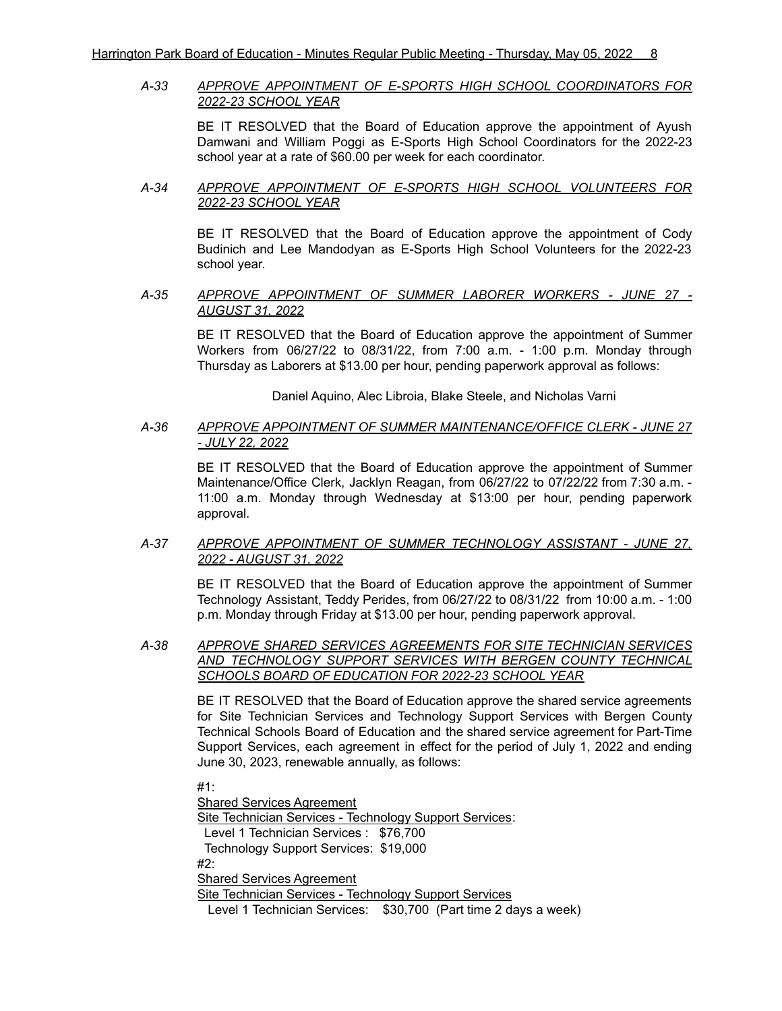# *A-33 APPROVE APPOINTMENT OF E-SPORTS HIGH SCHOOL COORDINATORS FOR 2022-23 SCHOOL YEAR*

BE IT RESOLVED that the Board of Education approve the appointment of Ayush Damwani and William Poggi as E-Sports High School Coordinators for the 2022-23 school year at a rate of \$60.00 per week for each coordinator.

### *A-34 APPROVE APPOINTMENT OF E-SPORTS HIGH SCHOOL VOLUNTEERS FOR 2022-23 SCHOOL YEAR*

BE IT RESOLVED that the Board of Education approve the appointment of Cody Budinich and Lee Mandodyan as E-Sports High School Volunteers for the 2022-23 school year.

#### *A-35 APPROVE APPOINTMENT OF SUMMER LABORER WORKERS - JUNE 27 - AUGUST 31, 2022*

BE IT RESOLVED that the Board of Education approve the appointment of Summer Workers from 06/27/22 to 08/31/22, from 7:00 a.m. - 1:00 p.m. Monday through Thursday as Laborers at \$13.00 per hour, pending paperwork approval as follows:

Daniel Aquino, Alec Libroia, Blake Steele, and Nicholas Varni

# *A-36 APPROVE APPOINTMENT OF SUMMER MAINTENANCE/OFFICE CLERK - JUNE 27 - JULY 22, 2022*

BE IT RESOLVED that the Board of Education approve the appointment of Summer Maintenance/Office Clerk, Jacklyn Reagan, from 06/27/22 to 07/22/22 from 7:30 a.m. - 11:00 a.m. Monday through Wednesday at \$13:00 per hour, pending paperwork approval.

### *A-37 APPROVE APPOINTMENT OF SUMMER TECHNOLOGY ASSISTANT - JUNE 27, 2022 - AUGUST 31, 2022*

BE IT RESOLVED that the Board of Education approve the appointment of Summer Technology Assistant, Teddy Perides, from 06/27/22 to 08/31/22 from 10:00 a.m. - 1:00 p.m. Monday through Friday at \$13.00 per hour, pending paperwork approval.

# *A-38 APPROVE SHARED SERVICES AGREEMENTS FOR SITE TECHNICIAN SERVICES AND TECHNOLOGY SUPPORT SERVICES WITH BERGEN COUNTY TECHNICAL SCHOOLS BOARD OF EDUCATION FOR 2022-23 SCHOOL YEAR*

BE IT RESOLVED that the Board of Education approve the shared service agreements for Site Technician Services and Technology Support Services with Bergen County Technical Schools Board of Education and the shared service agreement for Part-Time Support Services, each agreement in effect for the period of July 1, 2022 and ending June 30, 2023, renewable annually, as follows:

#1:

Shared Services Agreement Site Technician Services - Technology Support Services: Level 1 Technician Services : \$76,700 Technology Support Services: \$19,000

#2:

Shared Services Agreement

Site Technician Services - Technology Support Services

Level 1 Technician Services: \$30,700 (Part time 2 days a week)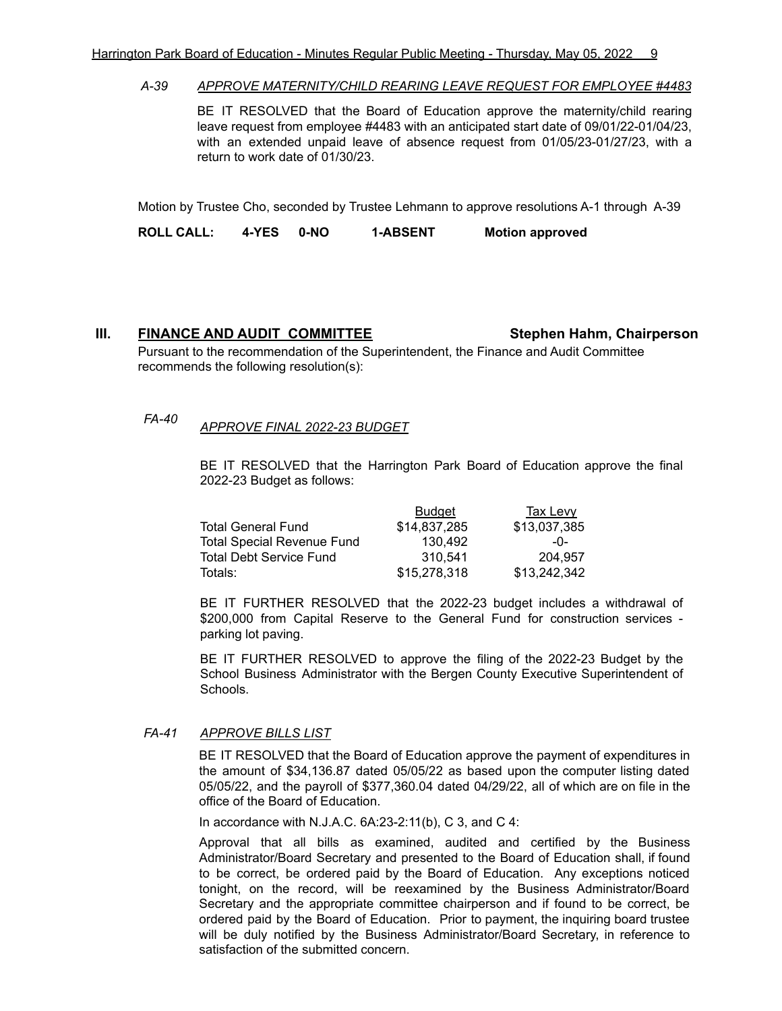#### *A-39 APPROVE MATERNITY/CHILD REARING LEAVE REQUEST FOR EMPLOYEE #4483*

BE IT RESOLVED that the Board of Education approve the maternity/child rearing leave request from employee #4483 with an anticipated start date of 09/01/22-01/04/23, with an extended unpaid leave of absence request from 01/05/23-01/27/23, with a return to work date of 01/30/23.

Motion by Trustee Cho, seconded by Trustee Lehmann to approve resolutions A-1 through A-39

**ROLL CALL: 4-YES 0-NO 1-ABSENT Motion approved**

### **III. FINANCE AND AUDIT COMMITTEE Stephen Hahm, Chairperson**

Pursuant to the recommendation of the Superintendent, the Finance and Audit Committee recommends the following resolution(s):

*FA-40 APPROVE FINAL 2022-23 BUDGET*

BE IT RESOLVED that the Harrington Park Board of Education approve the final 2022-23 Budget as follows:

|                                   | <b>Budget</b> | <b>Tax Levy</b> |
|-----------------------------------|---------------|-----------------|
| <b>Total General Fund</b>         | \$14.837.285  | \$13,037,385    |
| <b>Total Special Revenue Fund</b> | 130.492       | $-0-$           |
| <b>Total Debt Service Fund</b>    | 310.541       | 204.957         |
| Totals:                           | \$15,278,318  | \$13,242,342    |

BE IT FURTHER RESOLVED that the 2022-23 budget includes a withdrawal of \$200,000 from Capital Reserve to the General Fund for construction services parking lot paving.

BE IT FURTHER RESOLVED to approve the filing of the 2022-23 Budget by the School Business Administrator with the Bergen County Executive Superintendent of Schools.

# *FA-41 APPROVE BILLS LIST*

BE IT RESOLVED that the Board of Education approve the payment of expenditures in the amount of \$34,136.87 dated 05/05/22 as based upon the computer listing dated 05/05/22, and the payroll of \$377,360.04 dated 04/29/22, all of which are on file in the office of the Board of Education.

In accordance with N.J.A.C. 6A:23-2:11(b), C 3, and C 4:

Approval that all bills as examined, audited and certified by the Business Administrator/Board Secretary and presented to the Board of Education shall, if found to be correct, be ordered paid by the Board of Education. Any exceptions noticed tonight, on the record, will be reexamined by the Business Administrator/Board Secretary and the appropriate committee chairperson and if found to be correct, be ordered paid by the Board of Education. Prior to payment, the inquiring board trustee will be duly notified by the Business Administrator/Board Secretary, in reference to satisfaction of the submitted concern.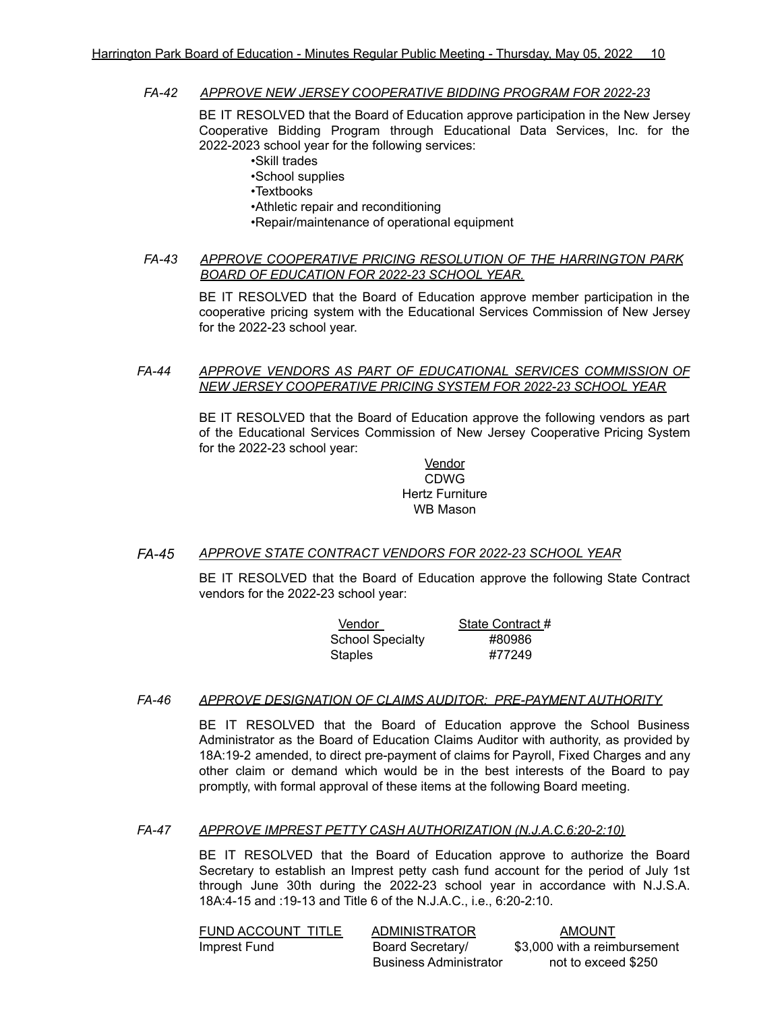#### *FA-42 APPROVE NEW JERSEY COOPERATIVE BIDDING PROGRAM FOR 2022-23*

BE IT RESOLVED that the Board of Education approve participation in the New Jersey Cooperative Bidding Program through Educational Data Services, Inc. for the 2022-2023 school year for the following services:

•Skill trades

•School supplies •Textbooks •Athletic repair and reconditioning

•Repair/maintenance of operational equipment

*FA-43 APPROVE COOPERATIVE PRICING RESOLUTION OF THE HARRINGTON PARK BOARD OF EDUCATION FOR 2022-23 SCHOOL YEAR.*

> BE IT RESOLVED that the Board of Education approve member participation in the cooperative pricing system with the Educational Services Commission of New Jersey for the 2022-23 school year.

#### *FA-44 APPROVE VENDORS AS PART OF EDUCATIONAL SERVICES COMMISSION OF NEW JERSEY COOPERATIVE PRICING SYSTEM FOR 2022-23 SCHOOL YEAR*

BE IT RESOLVED that the Board of Education approve the following vendors as part of the Educational Services Commission of New Jersey Cooperative Pricing System for the 2022-23 school year:

#### **Vendor** CDWG Hertz Furniture WB Mason

# *FA-45 APPROVE STATE CONTRACT VENDORS FOR 2022-23 SCHOOL YEAR*

BE IT RESOLVED that the Board of Education approve the following State Contract vendors for the 2022-23 school year:

| Vendor                  | State Contract # |
|-------------------------|------------------|
| <b>School Specialty</b> | #80986           |
| Staples                 | #77249           |

#### *FA-46 APPROVE DESIGNATION OF CLAIMS AUDITOR: PRE-PAYMENT AUTHORITY*

BE IT RESOLVED that the Board of Education approve the School Business Administrator as the Board of Education Claims Auditor with authority, as provided by 18A:19-2 amended, to direct pre-payment of claims for Payroll, Fixed Charges and any other claim or demand which would be in the best interests of the Board to pay promptly, with formal approval of these items at the following Board meeting.

#### *FA-47 APPROVE IMPREST PETTY CASH AUTHORIZATION (N.J.A.C.6:20-2:10)*

BE IT RESOLVED that the Board of Education approve to authorize the Board Secretary to establish an Imprest petty cash fund account for the period of July 1st through June 30th during the 2022-23 school year in accordance with N.J.S.A. 18A:4-15 and :19-13 and Title 6 of the N.J.A.C., i.e., 6:20-2:10.

| FUND ACCOUNT TITLE | <b>ADMINISTRATOR</b>          | AMOUNT                       |
|--------------------|-------------------------------|------------------------------|
| Imprest Fund       | Board Secretary/              | \$3,000 with a reimbursement |
|                    | <b>Business Administrator</b> | not to exceed \$250          |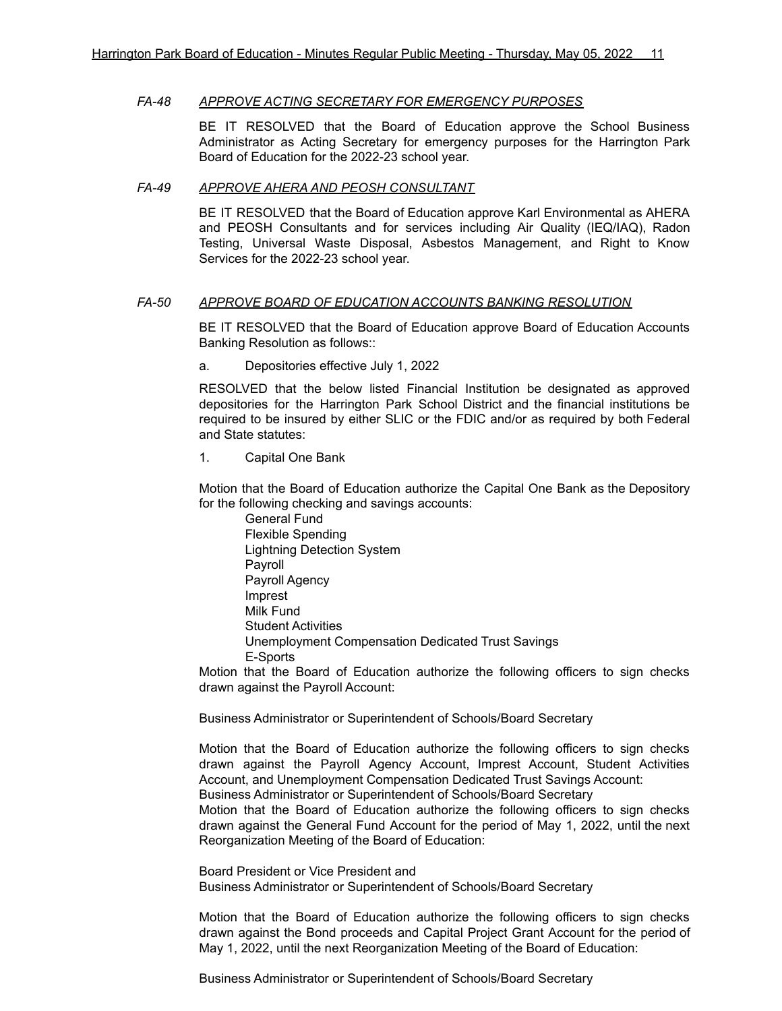#### *FA-48 APPROVE ACTING SECRETARY FOR EMERGENCY PURPOSES*

BE IT RESOLVED that the Board of Education approve the School Business Administrator as Acting Secretary for emergency purposes for the Harrington Park Board of Education for the 2022-23 school year.

#### *FA-49 APPROVE AHERA AND PEOSH CONSULTANT*

BE IT RESOLVED that the Board of Education approve Karl Environmental as AHERA and PEOSH Consultants and for services including Air Quality (IEQ/IAQ), Radon Testing, Universal Waste Disposal, Asbestos Management, and Right to Know Services for the 2022-23 school year.

#### *FA-50 APPROVE BOARD OF EDUCATION ACCOUNTS BANKING RESOLUTION*

BE IT RESOLVED that the Board of Education approve Board of Education Accounts Banking Resolution as follows::

#### a. Depositories effective July 1, 2022

RESOLVED that the below listed Financial Institution be designated as approved depositories for the Harrington Park School District and the financial institutions be required to be insured by either SLIC or the FDIC and/or as required by both Federal and State statutes:

1. Capital One Bank

Motion that the Board of Education authorize the Capital One Bank as the Depository for the following checking and savings accounts:

General Fund Flexible Spending Lightning Detection System Payroll Payroll Agency Imprest Milk Fund Student Activities Unemployment Compensation Dedicated Trust Savings E-Sports

Motion that the Board of Education authorize the following officers to sign checks drawn against the Payroll Account:

Business Administrator or Superintendent of Schools/Board Secretary

Motion that the Board of Education authorize the following officers to sign checks drawn against the Payroll Agency Account, Imprest Account, Student Activities Account, and Unemployment Compensation Dedicated Trust Savings Account: Business Administrator or Superintendent of Schools/Board Secretary

Motion that the Board of Education authorize the following officers to sign checks drawn against the General Fund Account for the period of May 1, 2022, until the next Reorganization Meeting of the Board of Education:

Board President or Vice President and Business Administrator or Superintendent of Schools/Board Secretary

Motion that the Board of Education authorize the following officers to sign checks drawn against the Bond proceeds and Capital Project Grant Account for the period of May 1, 2022, until the next Reorganization Meeting of the Board of Education:

Business Administrator or Superintendent of Schools/Board Secretary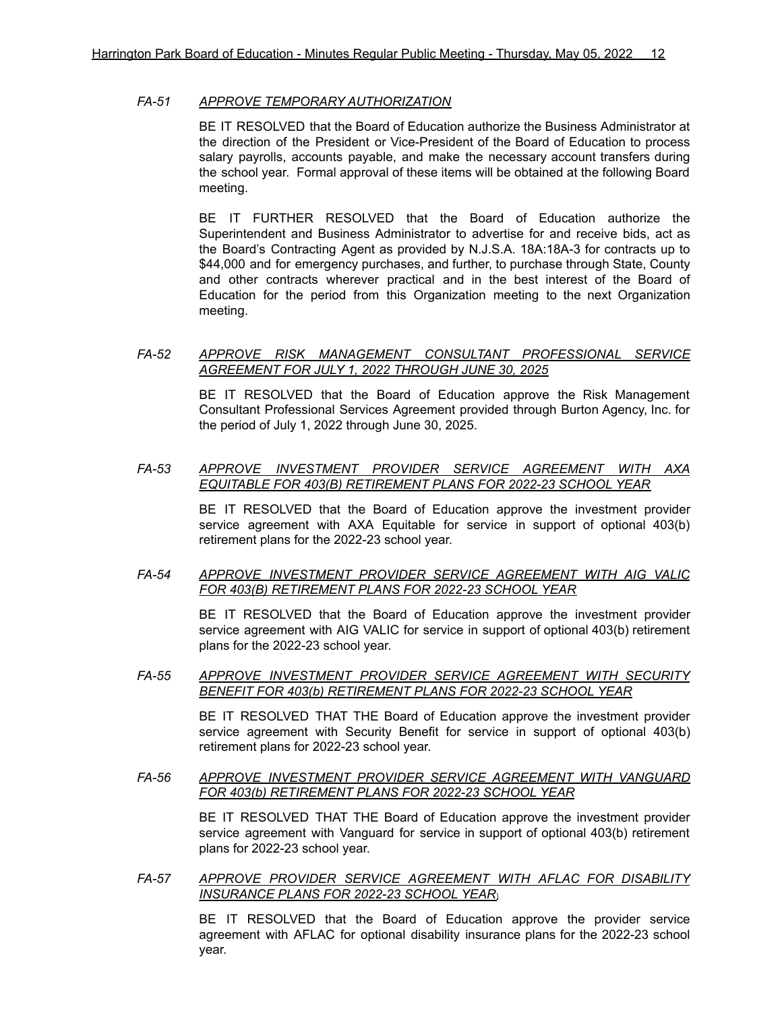#### *FA-51 APPROVE TEMPORARY AUTHORIZATION*

BE IT RESOLVED that the Board of Education authorize the Business Administrator at the direction of the President or Vice-President of the Board of Education to process salary payrolls, accounts payable, and make the necessary account transfers during the school year. Formal approval of these items will be obtained at the following Board meeting.

BE IT FURTHER RESOLVED that the Board of Education authorize the Superintendent and Business Administrator to advertise for and receive bids, act as the Board's Contracting Agent as provided by N.J.S.A. 18A:18A-3 for contracts up to \$44,000 and for emergency purchases, and further, to purchase through State, County and other contracts wherever practical and in the best interest of the Board of Education for the period from this Organization meeting to the next Organization meeting.

#### *FA-52 APPROVE RISK MANAGEMENT CONSULTANT PROFESSIONAL SERVICE AGREEMENT FOR JULY 1, 2022 THROUGH JUNE 30, 2025*

BE IT RESOLVED that the Board of Education approve the Risk Management Consultant Professional Services Agreement provided through Burton Agency, Inc. for the period of July 1, 2022 through June 30, 2025.

#### *FA-53 APPROVE INVESTMENT PROVIDER SERVICE AGREEMENT WITH AXA EQUITABLE FOR 403(B) RETIREMENT PLANS FOR 2022-23 SCHOOL YEAR*

BE IT RESOLVED that the Board of Education approve the investment provider service agreement with AXA Equitable for service in support of optional 403(b) retirement plans for the 2022-23 school year.

#### *FA-54 APPROVE INVESTMENT PROVIDER SERVICE AGREEMENT WITH AIG VALIC FOR 403(B) RETIREMENT PLANS FOR 2022-23 SCHOOL YEAR*

BE IT RESOLVED that the Board of Education approve the investment provider service agreement with AIG VALIC for service in support of optional 403(b) retirement plans for the 2022-23 school year.

## *FA-55 APPROVE INVESTMENT PROVIDER SERVICE AGREEMENT WITH SECURITY BENEFIT FOR 403(b) RETIREMENT PLANS FOR 2022-23 SCHOOL YEAR*

BE IT RESOLVED THAT THE Board of Education approve the investment provider service agreement with Security Benefit for service in support of optional 403(b) retirement plans for 2022-23 school year.

### *FA-56 APPROVE INVESTMENT PROVIDER SERVICE AGREEMENT WITH VANGUARD FOR 403(b) RETIREMENT PLANS FOR 2022-23 SCHOOL YEAR*

BE IT RESOLVED THAT THE Board of Education approve the investment provider service agreement with Vanguard for service in support of optional 403(b) retirement plans for 2022-23 school year.

*FA-57 APPROVE PROVIDER SERVICE AGREEMENT WITH AFLAC FOR DISABILITY INSURANCE PLANS FOR 2022-23 SCHOOL YEAR\*

> BE IT RESOLVED that the Board of Education approve the provider service agreement with AFLAC for optional disability insurance plans for the 2022-23 school year.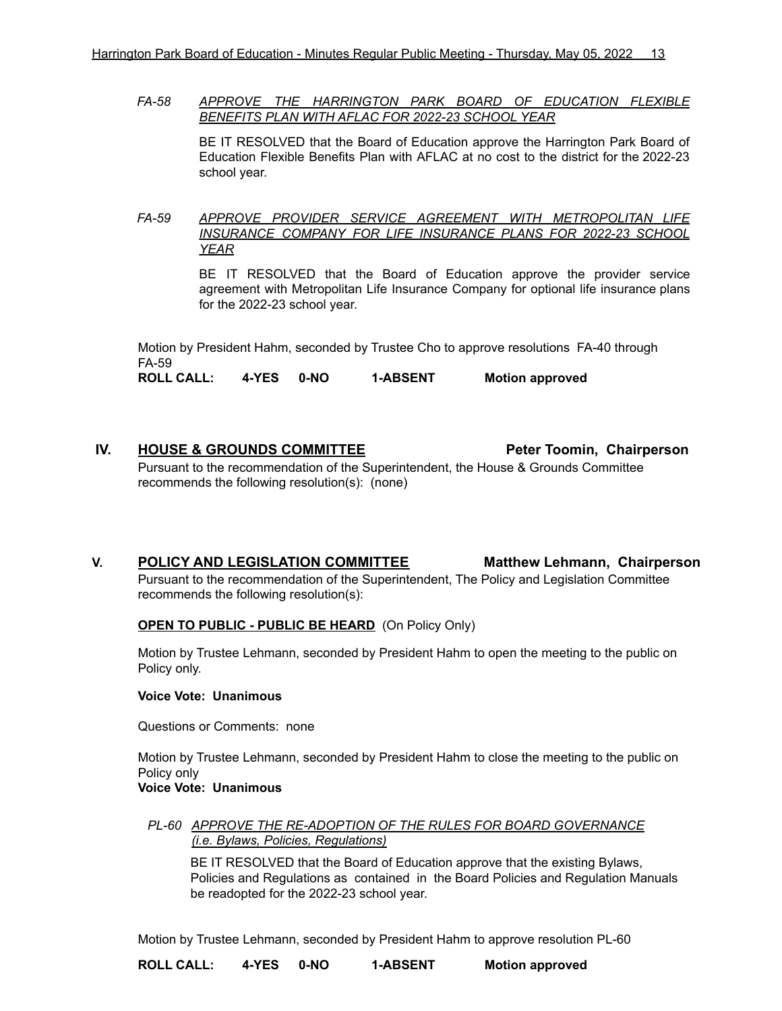*FA-58 APPROVE THE HARRINGTON PARK BOARD OF EDUCATION FLEXIBLE BENEFITS PLAN WITH AFLAC FOR 2022-23 SCHOOL YEAR*

> BE IT RESOLVED that the Board of Education approve the Harrington Park Board of Education Flexible Benefits Plan with AFLAC at no cost to the district for the 2022-23 school year.

*FA-59 APPROVE PROVIDER SERVICE AGREEMENT WITH METROPOLITAN LIFE INSURANCE COMPANY FOR LIFE INSURANCE PLANS FOR 2022-23 SCHOOL YEAR*

> BE IT RESOLVED that the Board of Education approve the provider service agreement with Metropolitan Life Insurance Company for optional life insurance plans for the 2022-23 school year.

Motion by President Hahm, seconded by Trustee Cho to approve resolutions FA-40 through FA-59

**ROLL CALL: 4-YES 0-NO 1-ABSENT Motion approved**

# **IV. HOUSE & GROUNDS COMMITTEE Peter Toomin, Chairperson** Pursuant to the recommendation of the Superintendent, the House & Grounds Committee recommends the following resolution(s): (none)

**V. POLICY AND LEGISLATION COMMITTEE Matthew Lehmann, Chairperson**

Pursuant to the recommendation of the Superintendent, The Policy and Legislation Committee recommends the following resolution(s):

# **OPEN TO PUBLIC - PUBLIC BE HEARD** (On Policy Only)

Motion by Trustee Lehmann, seconded by President Hahm to open the meeting to the public on Policy only.

#### **Voice Vote: Unanimous**

Questions or Comments: none

Motion by Trustee Lehmann, seconded by President Hahm to close the meeting to the public on Policy only

# **Voice Vote: Unanimous**

#### *PL-60 APPROVE THE RE-ADOPTION OF THE RULES FOR BOARD GOVERNANCE (i.e. Bylaws, Policies, Regulations)*

BE IT RESOLVED that the Board of Education approve that the existing Bylaws, Policies and Regulations as contained in the Board Policies and Regulation Manuals be readopted for the 2022-23 school year.

Motion by Trustee Lehmann, seconded by President Hahm to approve resolution PL-60

**ROLL CALL: 4-YES 0-NO 1-ABSENT Motion approved**